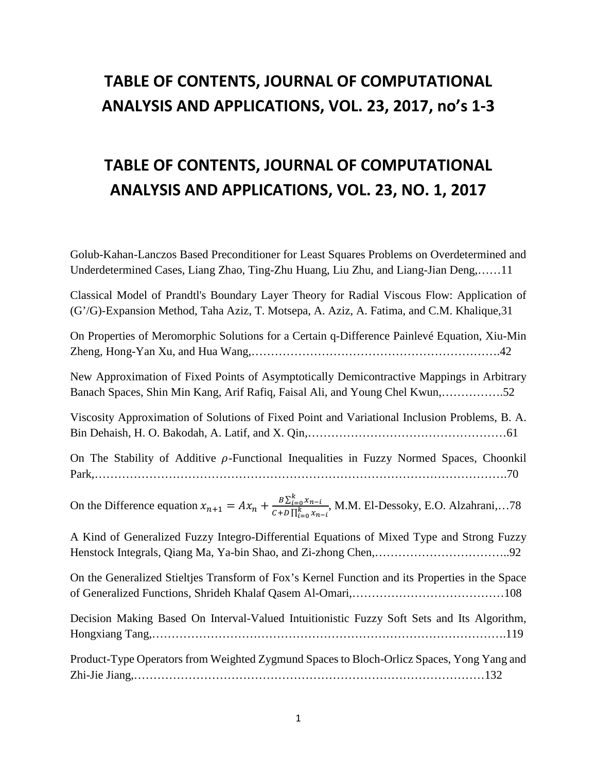## **TABLE OF CONTENTS, JOURNAL OF COMPUTATIONAL ANALYSIS AND APPLICATIONS, VOL. 23, 2017, no's 1-3**

## **TABLE OF CONTENTS, JOURNAL OF COMPUTATIONAL ANALYSIS AND APPLICATIONS, VOL. 23, NO. 1, 2017**

Golub-Kahan-Lanczos Based Preconditioner for Least Squares Problems on Overdetermined and Underdetermined Cases, Liang Zhao, Ting-Zhu Huang, Liu Zhu, and Liang-Jian Deng,……11

Classical Model of Prandtl's Boundary Layer Theory for Radial Viscous Flow: Application of (G'/G)-Expansion Method, Taha Aziz, T. Motsepa, A. Aziz, A. Fatima, and C.M. Khalique,31

On Properties of Meromorphic Solutions for a Certain q-Difference Painlevé Equation, Xiu-Min Zheng, Hong-Yan Xu, and Hua Wang,……………………………………………………….42

New Approximation of Fixed Points of Asymptotically Demicontractive Mappings in Arbitrary Banach Spaces, Shin Min Kang, Arif Rafiq, Faisal Ali, and Young Chel Kwun,…………….52

Viscosity Approximation of Solutions of Fixed Point and Variational Inclusion Problems, B. A. Bin Dehaish, H. O. Bakodah, A. Latif, and X. Qin,……………………………………………61

On The Stability of Additive  $\rho$ -Functional Inequalities in Fuzzy Normed Spaces, Choonkil Park,…………………………………………………………………………………………….70

On the Difference equation  $x_{n+1} = Ax_n + \frac{B \sum_{i=0}^{k} x_{n-i}}{C + D \prod_{i=0}^{k} x_n}$  $c+D\prod_{i=0}^{k}x_{n-i}$ , M.M. El-Dessoky, E.O. Alzahrani,…78

A Kind of Generalized Fuzzy Integro-Differential Equations of Mixed Type and Strong Fuzzy Henstock Integrals, Qiang Ma, Ya-bin Shao, and Zi-zhong Chen,……………………………..92

On the Generalized Stieltjes Transform of Fox's Kernel Function and its Properties in the Space of Generalized Functions, Shrideh Khalaf Qasem Al-Omari,…………………………………108

Decision Making Based On Interval-Valued Intuitionistic Fuzzy Soft Sets and Its Algorithm, Hongxiang Tang,……………………………………………………………………………….119

Product-Type Operators from Weighted Zygmund Spaces to Bloch-Orlicz Spaces, Yong Yang and Zhi-Jie Jiang,………………………………………………………………………………132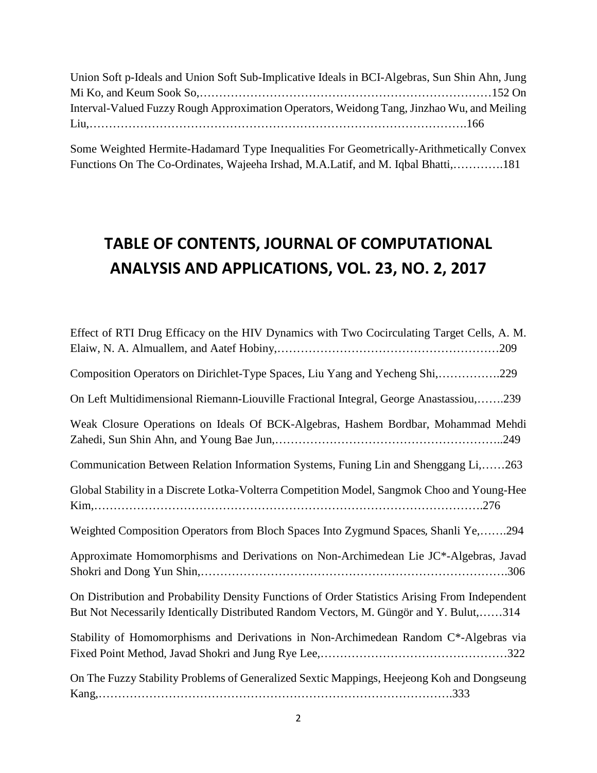| Union Soft p-Ideals and Union Soft Sub-Implicative Ideals in BCI-Algebras, Sun Shin Ahn, Jung |  |
|-----------------------------------------------------------------------------------------------|--|
|                                                                                               |  |
| Interval-Valued Fuzzy Rough Approximation Operators, Weidong Tang, Jinzhao Wu, and Meiling    |  |
|                                                                                               |  |

Some Weighted Hermite-Hadamard Type Inequalities For Geometrically-Arithmetically Convex Functions On The Co-Ordinates, Wajeeha Irshad, M.A.Latif, and M. Iqbal Bhatti,………….181

## **TABLE OF CONTENTS, JOURNAL OF COMPUTATIONAL ANALYSIS AND APPLICATIONS, VOL. 23, NO. 2, 2017**

| Effect of RTI Drug Efficacy on the HIV Dynamics with Two Cocirculating Target Cells, A. M.                                                                                               |
|------------------------------------------------------------------------------------------------------------------------------------------------------------------------------------------|
| Composition Operators on Dirichlet-Type Spaces, Liu Yang and Yecheng Shi,229                                                                                                             |
| On Left Multidimensional Riemann-Liouville Fractional Integral, George Anastassiou,239                                                                                                   |
| Weak Closure Operations on Ideals Of BCK-Algebras, Hashem Bordbar, Mohammad Mehdi                                                                                                        |
| Communication Between Relation Information Systems, Funing Lin and Shenggang Li,263                                                                                                      |
| Global Stability in a Discrete Lotka-Volterra Competition Model, Sangmok Choo and Young-Hee                                                                                              |
| Weighted Composition Operators from Bloch Spaces Into Zygmund Spaces, Shanli Ye,294                                                                                                      |
| Approximate Homomorphisms and Derivations on Non-Archimedean Lie JC*-Algebras, Javad                                                                                                     |
| On Distribution and Probability Density Functions of Order Statistics Arising From Independent<br>But Not Necessarily Identically Distributed Random Vectors, M. Güngör and Y. Bulut,314 |
| Stability of Homomorphisms and Derivations in Non-Archimedean Random C*-Algebras via                                                                                                     |
| On The Fuzzy Stability Problems of Generalized Sextic Mappings, Heejeong Koh and Dongseung                                                                                               |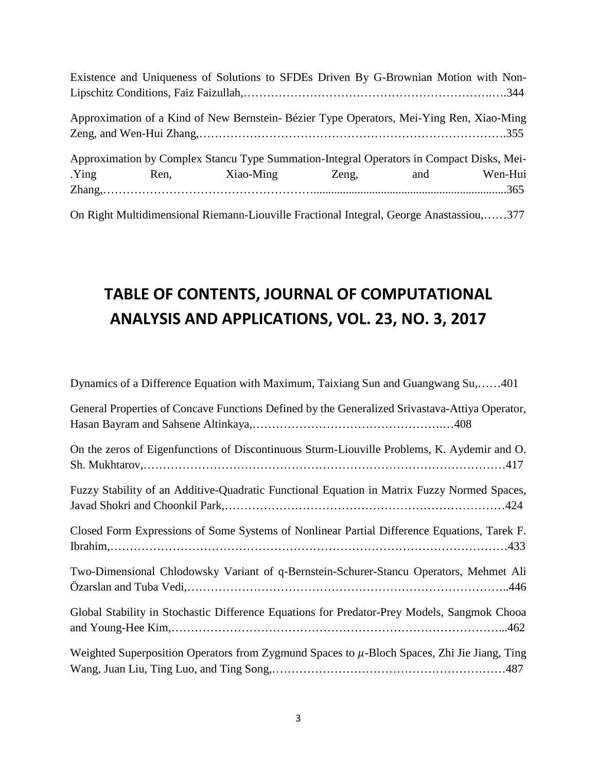|                                                                                          |  | Existence and Uniqueness of Solutions to SFDEs Driven By G-Brownian Motion with Non-     |  |                   |  |
|------------------------------------------------------------------------------------------|--|------------------------------------------------------------------------------------------|--|-------------------|--|
|                                                                                          |  |                                                                                          |  |                   |  |
|                                                                                          |  | Approximation of a Kind of New Bernstein- Bézier Type Operators, Mei-Ying Ren, Xiao-Ming |  |                   |  |
| Approximation by Complex Stancu Type Summation-Integral Operators in Compact Disks, Mei- |  |                                                                                          |  |                   |  |
|                                                                                          |  | Ying Ren, Xiao-Ming                                                                      |  | Zeng, and Wen-Hui |  |
|                                                                                          |  |                                                                                          |  |                   |  |
|                                                                                          |  | On Right Multidimensional Riemann-Liouville Fractional Integral, George Anastassiou,377  |  |                   |  |

## **TABLE OF CONTENTS, JOURNAL OF COMPUTATIONAL ANALYSIS AND APPLICATIONS, VOL. 23, NO. 3, 2017**

| Dynamics of a Difference Equation with Maximum, Taixiang Sun and Guangwang Su,401                |
|--------------------------------------------------------------------------------------------------|
| General Properties of Concave Functions Defined by the Generalized Srivastava-Attiya Operator,   |
| On the zeros of Eigenfunctions of Discontinuous Sturm-Liouville Problems, K. Aydemir and O.      |
| Fuzzy Stability of an Additive-Quadratic Functional Equation in Matrix Fuzzy Normed Spaces,      |
| Closed Form Expressions of Some Systems of Nonlinear Partial Difference Equations, Tarek F.      |
| Two-Dimensional Chlodowsky Variant of q-Bernstein-Schurer-Stancu Operators, Mehmet Ali           |
| Global Stability in Stochastic Difference Equations for Predator-Prey Models, Sangmok Chooa      |
| Weighted Superposition Operators from Zygmund Spaces to $\mu$ -Bloch Spaces, Zhi Jie Jiang, Ting |